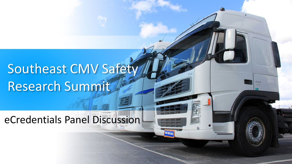# Southeast CMV Safety Research Summit

eCredentials Panel Discussion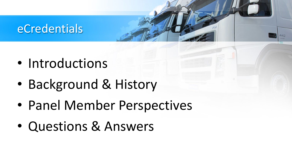#### eCredentials

- Introductions
- Background & History
- Panel Member Perspectives
- Questions & Answers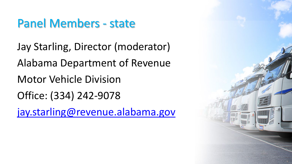# Panel Members - state

Jay Starling, Director (moderator) Alabama Department of Revenue Motor Vehicle Division Office: (334) 242-9078

[jay.starling@revenue.alabama.gov](mailto:jay.starling@revenue.alabama.gov)

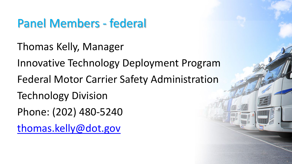# Panel Members - federal

Thomas Kelly, Manager

Innovative Technology Deployment Program

- Federal Motor Carrier Safety Administration
- Technology Division
- Phone: (202) 480-5240

[thomas.kelly@dot.gov](mailto:thomas.kelly@dot.gov)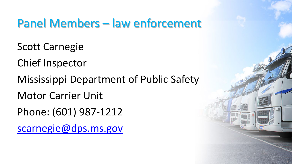# Panel Members – law enforcement

Scott Carnegie

Chief Inspector

Mississippi Department of Public Safety

Motor Carrier Unit

Phone: (601) 987-1212

[scarnegie@dps.ms.gov](mailto:scarnegie@dps.ms.gov)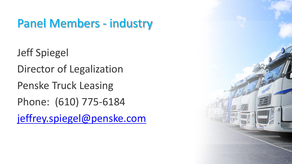# Panel Members - industry

Jeff Spiegel Director of Legalization Penske Truck Leasing Phone: (610) 775-6184 [jeffrey.spiegel@penske.com](mailto:jeffrey.spiegel@penske.com)

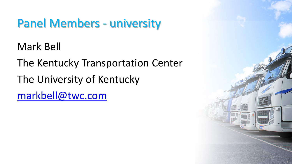# Panel Members - university

Mark Bell

The Kentucky Transportation Center The University of Kentucky [markbell@twc.com](mailto:markbell@twc.com)

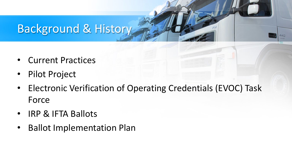#### Background & History

- Current Practices
- Pilot Project
- Electronic Verification of Operating Credentials (EVOC) Task Force
- IRP & IFTA Ballots
- Ballot Implementation Plan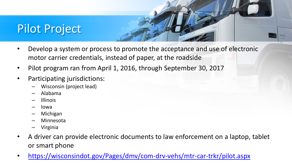#### Pilot Project

- Develop a system or process to promote the acceptance and use of electronic motor carrier credentials, instead of paper, at the roadside
- Pilot program ran from April 1, 2016, through September 30, 2017
- Participating jurisdictions:
	- Wisconsin (project lead)
	- Alabama
	- Illinois
	- Iowa
	- Michigan
	- Minnesota
	- Virginia
- A driver can provide electronic documents to law enforcement on a laptop, tablet or smart phone
- <https://wisconsindot.gov/Pages/dmv/com-drv-vehs/mtr-car-trkr/pilot.aspx>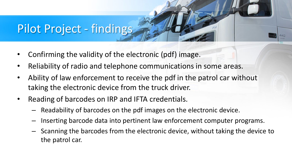# Pilot Project - findings

- Confirming the validity of the electronic (pdf) image.
- Reliability of radio and telephone communications in some areas.
- Ability of law enforcement to receive the pdf in the patrol car without taking the electronic device from the truck driver.
- Reading of barcodes on IRP and IFTA credentials.
	- Readability of barcodes on the pdf images on the electronic device.
	- Inserting barcode data into pertinent law enforcement computer programs.
	- Scanning the barcodes from the electronic device, without taking the device to the patrol car.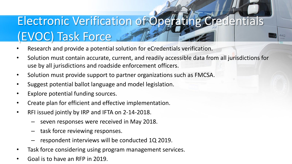# Electronic Verification of Operating Credentials (EVOC) Task Force

- Research and provide a potential solution for eCredentials verification.
- Solution must contain accurate, current, and readily accessible data from all jurisdictions for use by all jurisdictions and roadside enforcement officers.
- Solution must provide support to partner organizations such as FMCSA.
- Suggest potential ballot language and model legislation.
- Explore potential funding sources.
- Create plan for efficient and effective implementation.
- RFI issued jointly by IRP and IFTA on 2-14-2018.
	- seven responses were received in May 2018.
	- task force reviewing responses.
	- respondent interviews will be conducted 1Q 2019.
- Task force considering using program management services.
- Goal is to have an RFP in 2019.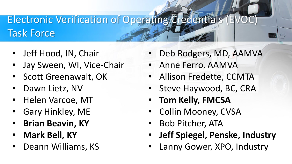#### Electronic Verification of Operating Credentials (E) Task Force

- Jeff Hood, IN, Chair
- Jay Sween, WI, Vice-Chair
- Scott Greenawalt, OK
- Dawn Lietz, NV
- Helen Varcoe, MT
- Gary Hinkley, ME
- **Brian Beavin, KY**
- **Mark Bell, KY**
- Deann Williams, KS
- Deb Rodgers, MD, AAMVA
- Anne Ferro, AAMVA
- Allison Fredette, CCMTA
- Steve Haywood, BC, CRA
- **Tom Kelly, FMCSA**
- Collin Mooney, CVSA
- Bob Pitcher, ATA
- **Jeff Spiegel, Penske, Industry**
- Lanny Gower, XPO, Industry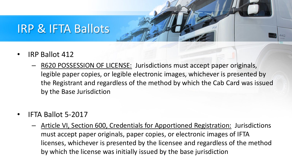#### IRP & IFTA Ballots

- IRP Ballot 412
	- R620 POSSESSION OF LICENSE: Jurisdictions must accept paper originals, legible paper copies, or legible electronic images, whichever is presented by the Registrant and regardless of the method by which the Cab Card was issued by the Base Jurisdiction
- IFTA Ballot 5-2017
	- Article VI, Section 600, Credentials for Apportioned Registration: Jurisdictions must accept paper originals, paper copies, or electronic images of IFTA licenses, whichever is presented by the licensee and regardless of the method by which the license was initially issued by the base jurisdiction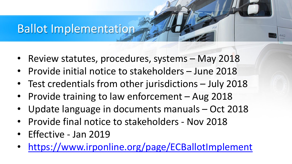#### Ballot Implementation

- Review statutes, procedures, systems May 2018
- Provide initial notice to stakeholders June 2018
- Test credentials from other jurisdictions July 2018
- Provide training to law enforcement Aug 2018
- Update language in documents manuals Oct 2018
- Provide final notice to stakeholders Nov 2018
- Effective Jan 2019
- <https://www.irponline.org/page/ECBallotImplement>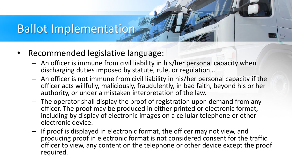#### Ballot Implementation

- Recommended legislative language:
	- An officer is immune from civil liability in his/her personal capacity when discharging duties imposed by statute, rule, or regulation…
	- An officer is not immune from civil liability in his/her personal capacity if the officer acts willfully, maliciously, fraudulently, in bad faith, beyond his or her authority, or under a mistaken interpretation of the law.
	- The operator shall display the proof of registration upon demand from any officer. The proof may be produced in either printed or electronic format, including by display of electronic images on a cellular telephone or other electronic device.
	- If proof is displayed in electronic format, the officer may not view, and producing proof in electronic format is not considered consent for the traffic officer to view, any content on the telephone or other device except the proof required.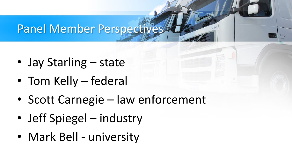# Panel Member Perspectives

- Jay Starling state
- Tom Kelly federal
- Scott Carnegie law enforcement
- Jeff Spiegel industry
- Mark Bell university